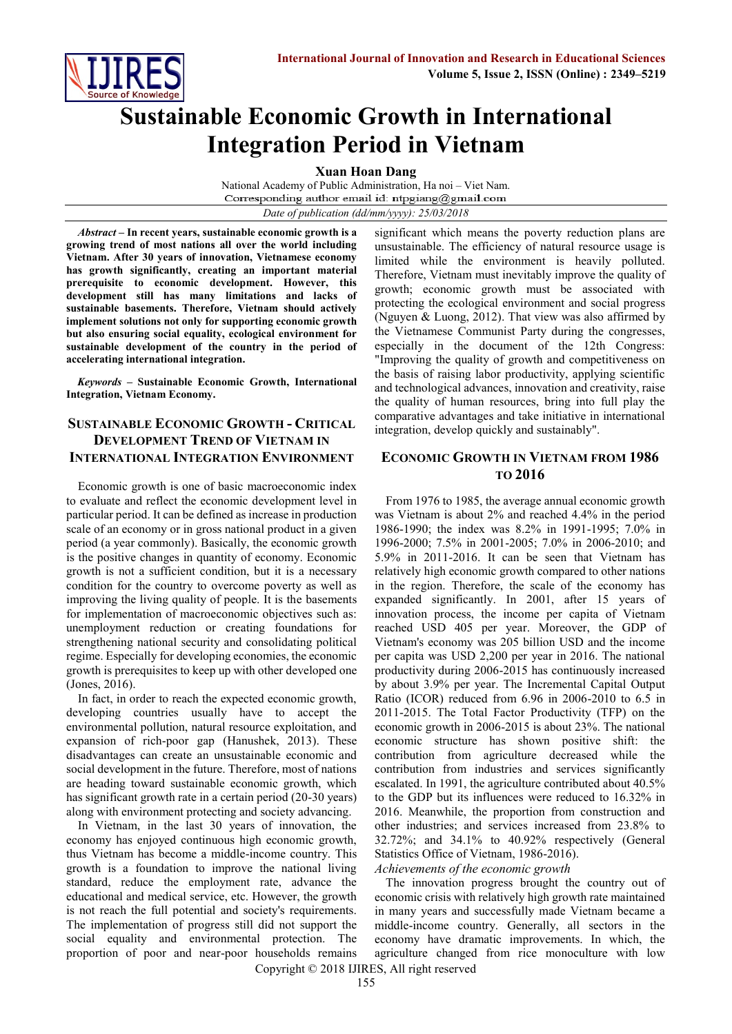

# **Sustainable Economic Growth in International Integration Period in Vietnam**

**Xuan Hoan Dang** 

National Academy of Public Administration, Ha noi – Viet Nam. Corresponding author email id: ntpgiang@gmail.com *Date of publication (dd/mm/yyyy): 25/03/2018*

*Abstract* **– In recent years, sustainable economic growth is a growing trend of most nations all over the world including Vietnam. After 30 years of innovation, Vietnamese economy has growth significantly, creating an important material prerequisite to economic development. However, this development still has many limitations and lacks of sustainable basements. Therefore, Vietnam should actively implement solutions not only for supporting economic growth but also ensuring social equality, ecological environment for sustainable development of the country in the period of accelerating international integration.**

*Keywords* **– Sustainable Economic Growth, International Integration, Vietnam Economy.**

# **SUSTAINABLE ECONOMIC GROWTH - CRITICAL DEVELOPMENT TREND OF VIETNAM IN INTERNATIONAL INTEGRATION ENVIRONMENT**

Economic growth is one of basic macroeconomic index to evaluate and reflect the economic development level in particular period. It can be defined as increase in production scale of an economy or in gross national product in a given period (a year commonly). Basically, the economic growth is the positive changes in quantity of economy. Economic growth is not a sufficient condition, but it is a necessary condition for the country to overcome poverty as well as improving the living quality of people. It is the basements for implementation of macroeconomic objectives such as: unemployment reduction or creating foundations for strengthening national security and consolidating political regime. Especially for developing economies, the economic growth is prerequisites to keep up with other developed one (Jones, 2016).

In fact, in order to reach the expected economic growth, developing countries usually have to accept the environmental pollution, natural resource exploitation, and expansion of rich-poor gap (Hanushek, 2013). These disadvantages can create an unsustainable economic and social development in the future. Therefore, most of nations are heading toward sustainable economic growth, which has significant growth rate in a certain period (20-30 years) along with environment protecting and society advancing.

In Vietnam, in the last 30 years of innovation, the economy has enjoyed continuous high economic growth, thus Vietnam has become a middle-income country. This growth is a foundation to improve the national living standard, reduce the employment rate, advance the educational and medical service, etc. However, the growth is not reach the full potential and society's requirements. The implementation of progress still did not support the social equality and environmental protection. The proportion of poor and near-poor households remains

significant which means the poverty reduction plans are unsustainable. The efficiency of natural resource usage is limited while the environment is heavily polluted. Therefore, Vietnam must inevitably improve the quality of growth; economic growth must be associated with protecting the ecological environment and social progress (Nguyen & Luong, 2012). That view was also affirmed by the Vietnamese Communist Party during the congresses, especially in the document of the 12th Congress: "Improving the quality of growth and competitiveness on the basis of raising labor productivity, applying scientific and technological advances, innovation and creativity, raise the quality of human resources, bring into full play the comparative advantages and take initiative in international integration, develop quickly and sustainably".

## **ECONOMIC GROWTH IN VIETNAM FROM 1986 TO 2016**

From 1976 to 1985, the average annual economic growth was Vietnam is about 2% and reached 4.4% in the period 1986-1990; the index was 8.2% in 1991-1995; 7.0% in 1996-2000; 7.5% in 2001-2005; 7.0% in 2006-2010; and 5.9% in 2011-2016. It can be seen that Vietnam has relatively high economic growth compared to other nations in the region. Therefore, the scale of the economy has expanded significantly. In 2001, after 15 years of innovation process, the income per capita of Vietnam reached USD 405 per year. Moreover, the GDP of Vietnam's economy was 205 billion USD and the income per capita was USD 2,200 per year in 2016. The national productivity during 2006-2015 has continuously increased by about 3.9% per year. The Incremental Capital Output Ratio (ICOR) reduced from 6.96 in 2006-2010 to 6.5 in 2011-2015. The Total Factor Productivity (TFP) on the economic growth in 2006-2015 is about 23%. The national economic structure has shown positive shift: the contribution from agriculture decreased while the contribution from industries and services significantly escalated. In 1991, the agriculture contributed about 40.5% to the GDP but its influences were reduced to 16.32% in 2016. Meanwhile, the proportion from construction and other industries; and services increased from 23.8% to 32.72%; and 34.1% to 40.92% respectively (General Statistics Office of Vietnam, 1986-2016).

*Achievements of the economic growth*

The innovation progress brought the country out of economic crisis with relatively high growth rate maintained in many years and successfully made Vietnam became a middle-income country. Generally, all sectors in the economy have dramatic improvements. In which, the agriculture changed from rice monoculture with low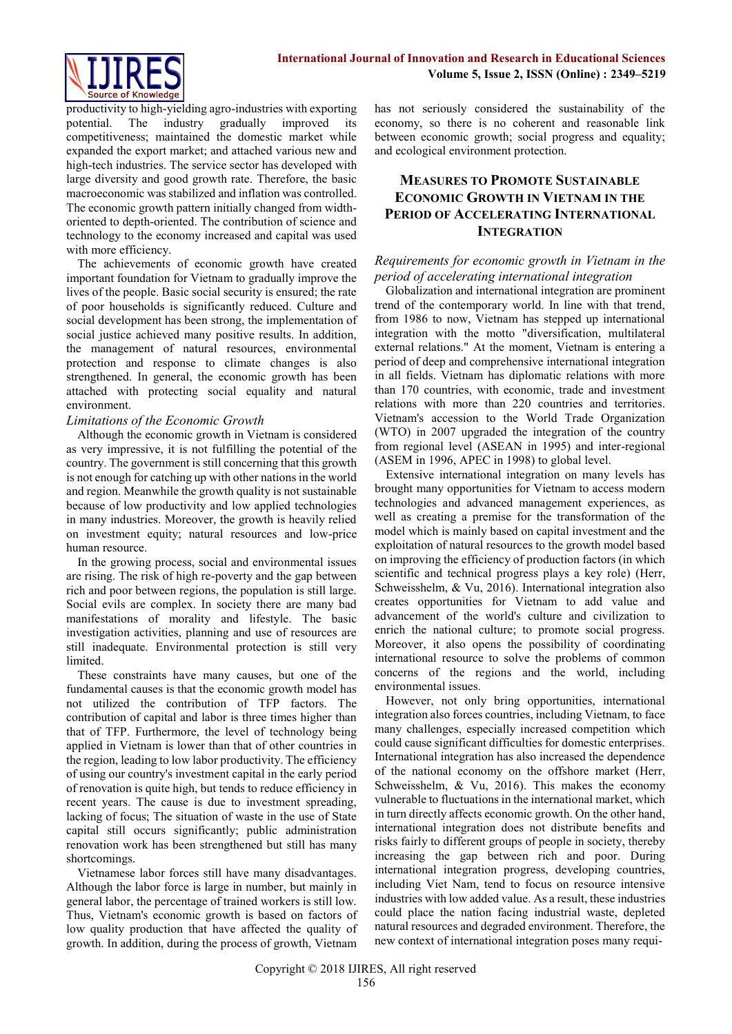

productivity to high-yielding agro-industries with exporting potential. The industry gradually improved its competitiveness; maintained the domestic market while expanded the export market; and attached various new and high-tech industries. The service sector has developed with large diversity and good growth rate. Therefore, the basic macroeconomic was stabilized and inflation was controlled. The economic growth pattern initially changed from widthoriented to depth-oriented. The contribution of science and technology to the economy increased and capital was used with more efficiency.

The achievements of economic growth have created important foundation for Vietnam to gradually improve the lives of the people. Basic social security is ensured; the rate of poor households is significantly reduced. Culture and social development has been strong, the implementation of social justice achieved many positive results. In addition, the management of natural resources, environmental protection and response to climate changes is also strengthened. In general, the economic growth has been attached with protecting social equality and natural environment.

#### *Limitations of the Economic Growth*

Although the economic growth in Vietnam is considered as very impressive, it is not fulfilling the potential of the country. The government is still concerning that this growth is not enough for catching up with other nations in the world and region. Meanwhile the growth quality is not sustainable because of low productivity and low applied technologies in many industries. Moreover, the growth is heavily relied on investment equity; natural resources and low-price human resource.

In the growing process, social and environmental issues are rising. The risk of high re-poverty and the gap between rich and poor between regions, the population is still large. Social evils are complex. In society there are many bad manifestations of morality and lifestyle. The basic investigation activities, planning and use of resources are still inadequate. Environmental protection is still very limited.

These constraints have many causes, but one of the fundamental causes is that the economic growth model has not utilized the contribution of TFP factors. The contribution of capital and labor is three times higher than that of TFP. Furthermore, the level of technology being applied in Vietnam is lower than that of other countries in the region, leading to low labor productivity. The efficiency of using our country's investment capital in the early period of renovation is quite high, but tends to reduce efficiency in recent years. The cause is due to investment spreading, lacking of focus; The situation of waste in the use of State capital still occurs significantly; public administration renovation work has been strengthened but still has many shortcomings.

Vietnamese labor forces still have many disadvantages. Although the labor force is large in number, but mainly in general labor, the percentage of trained workers is still low. Thus, Vietnam's economic growth is based on factors of low quality production that have affected the quality of growth. In addition, during the process of growth, Vietnam has not seriously considered the sustainability of the economy, so there is no coherent and reasonable link between economic growth; social progress and equality; and ecological environment protection.

# **MEASURES TO PROMOTE SUSTAINABLE ECONOMIC GROWTH IN VIETNAM IN THE PERIOD OF ACCELERATING INTERNATIONAL INTEGRATION**

## *Requirements for economic growth in Vietnam in the period of accelerating international integration*

Globalization and international integration are prominent trend of the contemporary world. In line with that trend, from 1986 to now, Vietnam has stepped up international integration with the motto "diversification, multilateral external relations." At the moment, Vietnam is entering a period of deep and comprehensive international integration in all fields. Vietnam has diplomatic relations with more than 170 countries, with economic, trade and investment relations with more than 220 countries and territories. Vietnam's accession to the World Trade Organization (WTO) in 2007 upgraded the integration of the country from regional level (ASEAN in 1995) and inter-regional (ASEM in 1996, APEC in 1998) to global level.

Extensive international integration on many levels has brought many opportunities for Vietnam to access modern technologies and advanced management experiences, as well as creating a premise for the transformation of the model which is mainly based on capital investment and the exploitation of natural resources to the growth model based on improving the efficiency of production factors (in which scientific and technical progress plays a key role) (Herr, Schweisshelm, & Vu, 2016). International integration also creates opportunities for Vietnam to add value and advancement of the world's culture and civilization to enrich the national culture; to promote social progress. Moreover, it also opens the possibility of coordinating international resource to solve the problems of common concerns of the regions and the world, including environmental issues.

However, not only bring opportunities, international integration also forces countries, including Vietnam, to face many challenges, especially increased competition which could cause significant difficulties for domestic enterprises. International integration has also increased the dependence of the national economy on the offshore market (Herr, Schweisshelm, & Vu, 2016). This makes the economy vulnerable to fluctuations in the international market, which in turn directly affects economic growth. On the other hand, international integration does not distribute benefits and risks fairly to different groups of people in society, thereby increasing the gap between rich and poor. During international integration progress, developing countries, including Viet Nam, tend to focus on resource intensive industries with low added value. As a result, these industries could place the nation facing industrial waste, depleted natural resources and degraded environment. Therefore, the new context of international integration poses many requi-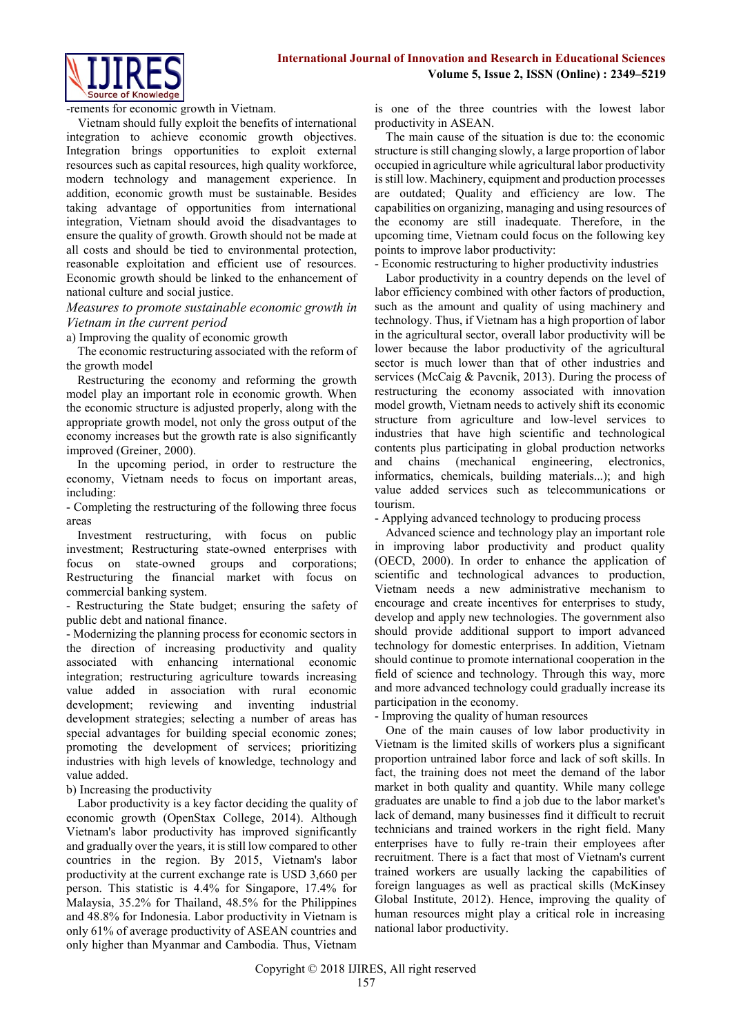

-rements for economic growth in Vietnam.

Vietnam should fully exploit the benefits of international integration to achieve economic growth objectives. Integration brings opportunities to exploit external resources such as capital resources, high quality workforce, modern technology and management experience. In addition, economic growth must be sustainable. Besides taking advantage of opportunities from international integration, Vietnam should avoid the disadvantages to ensure the quality of growth. Growth should not be made at all costs and should be tied to environmental protection, reasonable exploitation and efficient use of resources. Economic growth should be linked to the enhancement of national culture and social justice.

#### *Measures to promote sustainable economic growth in Vietnam in the current period*

a) Improving the quality of economic growth

The economic restructuring associated with the reform of the growth model

Restructuring the economy and reforming the growth model play an important role in economic growth. When the economic structure is adjusted properly, along with the appropriate growth model, not only the gross output of the economy increases but the growth rate is also significantly improved (Greiner, 2000).

In the upcoming period, in order to restructure the economy, Vietnam needs to focus on important areas, including:

- Completing the restructuring of the following three focus areas

Investment restructuring, with focus on public investment; Restructuring state-owned enterprises with focus on state-owned groups and corporations; Restructuring the financial market with focus on commercial banking system.

- Restructuring the State budget; ensuring the safety of public debt and national finance.

- Modernizing the planning process for economic sectors in the direction of increasing productivity and quality associated with enhancing international economic integration; restructuring agriculture towards increasing value added in association with rural economic development; reviewing and inventing industrial development strategies; selecting a number of areas has special advantages for building special economic zones; promoting the development of services; prioritizing industries with high levels of knowledge, technology and value added.

b) Increasing the productivity

Labor productivity is a key factor deciding the quality of economic growth (OpenStax College, 2014). Although Vietnam's labor productivity has improved significantly and gradually over the years, it is still low compared to other countries in the region. By 2015, Vietnam's labor productivity at the current exchange rate is USD 3,660 per person. This statistic is 4.4% for Singapore, 17.4% for Malaysia, 35.2% for Thailand, 48.5% for the Philippines and 48.8% for Indonesia. Labor productivity in Vietnam is only 61% of average productivity of ASEAN countries and only higher than Myanmar and Cambodia. Thus, Vietnam is one of the three countries with the lowest labor productivity in ASEAN.

The main cause of the situation is due to: the economic structure is still changing slowly, a large proportion of labor occupied in agriculture while agricultural labor productivity is still low. Machinery, equipment and production processes are outdated; Quality and efficiency are low. The capabilities on organizing, managing and using resources of the economy are still inadequate. Therefore, in the upcoming time, Vietnam could focus on the following key points to improve labor productivity:

- Economic restructuring to higher productivity industries

Labor productivity in a country depends on the level of labor efficiency combined with other factors of production, such as the amount and quality of using machinery and technology. Thus, if Vietnam has a high proportion of labor in the agricultural sector, overall labor productivity will be lower because the labor productivity of the agricultural sector is much lower than that of other industries and services (McCaig & Pavcnik, 2013). During the process of restructuring the economy associated with innovation model growth, Vietnam needs to actively shift its economic structure from agriculture and low-level services to industries that have high scientific and technological contents plus participating in global production networks and chains (mechanical engineering, electronics, informatics, chemicals, building materials...); and high value added services such as telecommunications or tourism.

- Applying advanced technology to producing process

Advanced science and technology play an important role in improving labor productivity and product quality (OECD, 2000). In order to enhance the application of scientific and technological advances to production, Vietnam needs a new administrative mechanism to encourage and create incentives for enterprises to study, develop and apply new technologies. The government also should provide additional support to import advanced technology for domestic enterprises. In addition, Vietnam should continue to promote international cooperation in the field of science and technology. Through this way, more and more advanced technology could gradually increase its participation in the economy.

- Improving the quality of human resources

One of the main causes of low labor productivity in Vietnam is the limited skills of workers plus a significant proportion untrained labor force and lack of soft skills. In fact, the training does not meet the demand of the labor market in both quality and quantity. While many college graduates are unable to find a job due to the labor market's lack of demand, many businesses find it difficult to recruit technicians and trained workers in the right field. Many enterprises have to fully re-train their employees after recruitment. There is a fact that most of Vietnam's current trained workers are usually lacking the capabilities of foreign languages as well as practical skills (McKinsey Global Institute, 2012). Hence, improving the quality of human resources might play a critical role in increasing national labor productivity.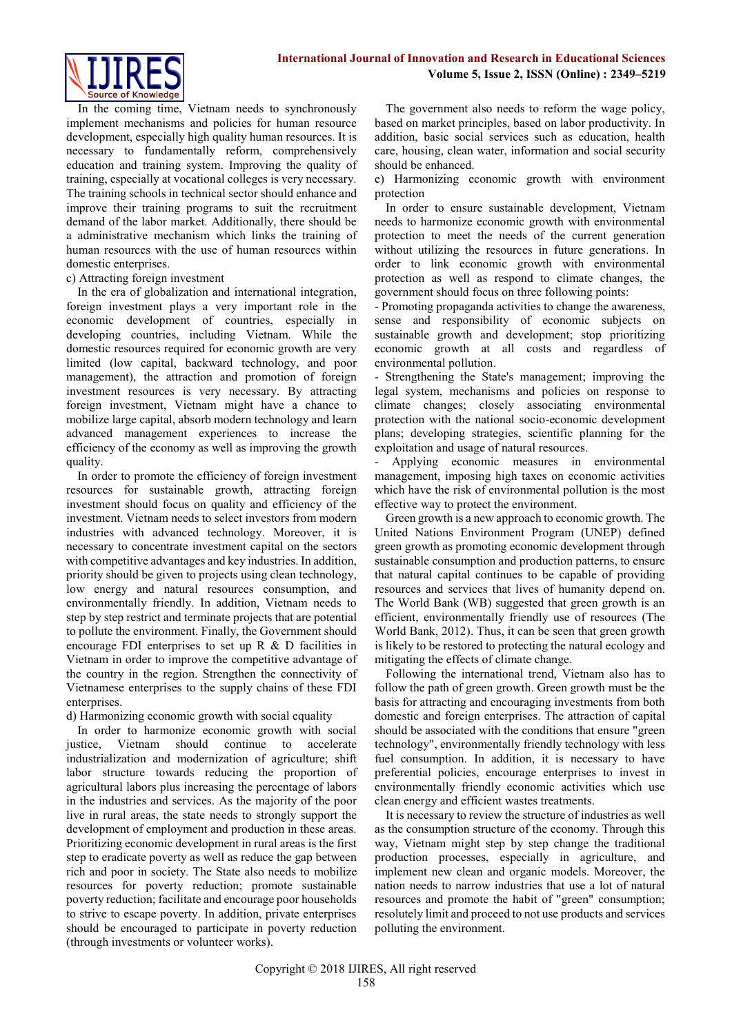

In the coming time, Vietnam needs to synchronously implement mechanisms and policies for human resource development, especially high quality human resources. It is necessary to fundamentally reform, comprehensively education and training system. Improving the quality of training, especially at vocational colleges is very necessary. The training schools in technical sector should enhance and improve their training programs to suit the recruitment demand of the labor market. Additionally, there should be a administrative mechanism which links the training of human resources with the use of human resources within domestic enterprises.

#### c) Attracting foreign investment

In the era of globalization and international integration, foreign investment plays a very important role in the economic development of countries, especially in developing countries, including Vietnam. While the domestic resources required for economic growth are very limited (low capital, backward technology, and poor management), the attraction and promotion of foreign investment resources is very necessary. By attracting foreign investment, Vietnam might have a chance to mobilize large capital, absorb modern technology and learn advanced management experiences to increase the efficiency of the economy as well as improving the growth quality.

In order to promote the efficiency of foreign investment resources for sustainable growth, attracting foreign investment should focus on quality and efficiency of the investment. Vietnam needs to select investors from modern industries with advanced technology. Moreover, it is necessary to concentrate investment capital on the sectors with competitive advantages and key industries. In addition, priority should be given to projects using clean technology, low energy and natural resources consumption, and environmentally friendly. In addition, Vietnam needs to step by step restrict and terminate projects that are potential to pollute the environment. Finally, the Government should encourage FDI enterprises to set up R & D facilities in Vietnam in order to improve the competitive advantage of the country in the region. Strengthen the connectivity of Vietnamese enterprises to the supply chains of these FDI enterprises.

#### d) Harmonizing economic growth with social equality

In order to harmonize economic growth with social justice, Vietnam should continue to accelerate industrialization and modernization of agriculture; shift labor structure towards reducing the proportion of agricultural labors plus increasing the percentage of labors in the industries and services. As the majority of the poor live in rural areas, the state needs to strongly support the development of employment and production in these areas. Prioritizing economic development in rural areas is the first step to eradicate poverty as well as reduce the gap between rich and poor in society. The State also needs to mobilize resources for poverty reduction; promote sustainable poverty reduction; facilitate and encourage poor households to strive to escape poverty. In addition, private enterprises should be encouraged to participate in poverty reduction (through investments or volunteer works).

The government also needs to reform the wage policy, based on market principles, based on labor productivity. In addition, basic social services such as education, health care, housing, clean water, information and social security should be enhanced.

e) Harmonizing economic growth with environment protection

In order to ensure sustainable development, Vietnam needs to harmonize economic growth with environmental protection to meet the needs of the current generation without utilizing the resources in future generations. In order to link economic growth with environmental protection as well as respond to climate changes, the government should focus on three following points:

- Promoting propaganda activities to change the awareness, sense and responsibility of economic subjects on sustainable growth and development; stop prioritizing economic growth at all costs and regardless of environmental pollution.

- Strengthening the State's management; improving the legal system, mechanisms and policies on response to climate changes; closely associating environmental protection with the national socio-economic development plans; developing strategies, scientific planning for the exploitation and usage of natural resources.

Applying economic measures in environmental management, imposing high taxes on economic activities which have the risk of environmental pollution is the most effective way to protect the environment.

Green growth is a new approach to economic growth. The United Nations Environment Program (UNEP) defined green growth as promoting economic development through sustainable consumption and production patterns, to ensure that natural capital continues to be capable of providing resources and services that lives of humanity depend on. The World Bank (WB) suggested that green growth is an efficient, environmentally friendly use of resources (The World Bank, 2012). Thus, it can be seen that green growth is likely to be restored to protecting the natural ecology and mitigating the effects of climate change.

Following the international trend, Vietnam also has to follow the path of green growth. Green growth must be the basis for attracting and encouraging investments from both domestic and foreign enterprises. The attraction of capital should be associated with the conditions that ensure "green technology", environmentally friendly technology with less fuel consumption. In addition, it is necessary to have preferential policies, encourage enterprises to invest in environmentally friendly economic activities which use clean energy and efficient wastes treatments.

It is necessary to review the structure of industries as well as the consumption structure of the economy. Through this way, Vietnam might step by step change the traditional production processes, especially in agriculture, and implement new clean and organic models. Moreover, the nation needs to narrow industries that use a lot of natural resources and promote the habit of "green" consumption; resolutely limit and proceed to not use products and services polluting the environment.